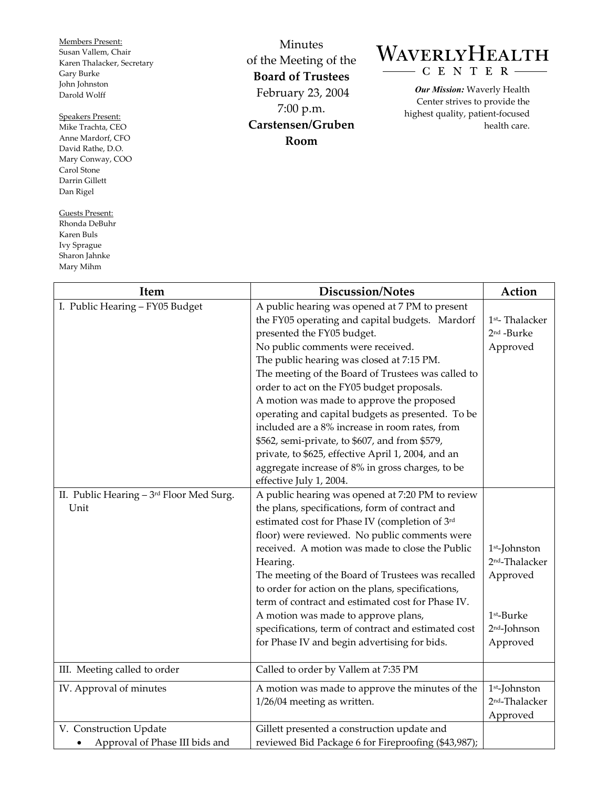Members Present: Susan Vallem, Chair Karen Thalacker, Secretary Gary Burke John Johnston Darold Wolff

## Speakers Present:

Mike Trachta, CEO Anne Mardorf, CFO David Rathe, D.O. Mary Conway, COO Carol Stone Darrin Gillett Dan Rigel

Guests Present: Rhonda DeBuhr Karen Buls Ivy Sprague Sharon Jahnke Mary Mihm

 $\overline{\Gamma}$ 

Minutes of the Meeting of the **Board of Trustees**  February 23, 2004 7:00 p.m. **Carstensen/Gruben Room** 

## WAVERLYHEALTH  $- C E N T E R -$

*Our Mission:* Waverly Health Center strives to provide the highest quality, patient-focused health care.

| <b>Item</b>                                              | Discussion/Notes                                                                                                                                                                                                                                                                                                                                                                                                                                                                                                                                                                                                                                                 | Action                                                                                                         |
|----------------------------------------------------------|------------------------------------------------------------------------------------------------------------------------------------------------------------------------------------------------------------------------------------------------------------------------------------------------------------------------------------------------------------------------------------------------------------------------------------------------------------------------------------------------------------------------------------------------------------------------------------------------------------------------------------------------------------------|----------------------------------------------------------------------------------------------------------------|
| I. Public Hearing - FY05 Budget                          | A public hearing was opened at 7 PM to present<br>the FY05 operating and capital budgets. Mardorf<br>presented the FY05 budget.<br>No public comments were received.<br>The public hearing was closed at 7:15 PM.<br>The meeting of the Board of Trustees was called to<br>order to act on the FY05 budget proposals.<br>A motion was made to approve the proposed<br>operating and capital budgets as presented. To be<br>included are a 8% increase in room rates, from<br>\$562, semi-private, to \$607, and from \$579,<br>private, to \$625, effective April 1, 2004, and an<br>aggregate increase of 8% in gross charges, to be<br>effective July 1, 2004. | 1 <sup>st</sup> -Thalacker<br>2 <sup>nd</sup> -Burke<br>Approved                                               |
| II. Public Hearing - 3rd Floor Med Surg.<br>Unit         | A public hearing was opened at 7:20 PM to review<br>the plans, specifications, form of contract and<br>estimated cost for Phase IV (completion of 3rd<br>floor) were reviewed. No public comments were<br>received. A motion was made to close the Public<br>Hearing.<br>The meeting of the Board of Trustees was recalled<br>to order for action on the plans, specifications,<br>term of contract and estimated cost for Phase IV.<br>A motion was made to approve plans,<br>specifications, term of contract and estimated cost<br>for Phase IV and begin advertising for bids.                                                                               | $1st$ -Johnston<br>2 <sup>nd</sup> -Thalacker<br>Approved<br>1st-Burke<br>2 <sup>nd</sup> -Johnson<br>Approved |
| III. Meeting called to order                             | Called to order by Vallem at 7:35 PM                                                                                                                                                                                                                                                                                                                                                                                                                                                                                                                                                                                                                             |                                                                                                                |
| IV. Approval of minutes                                  | A motion was made to approve the minutes of the<br>$1/26/04$ meeting as written.                                                                                                                                                                                                                                                                                                                                                                                                                                                                                                                                                                                 | 1 <sup>st</sup> -Johnston<br>2 <sup>nd</sup> -Thalacker<br>Approved                                            |
| V. Construction Update<br>Approval of Phase III bids and | Gillett presented a construction update and<br>reviewed Bid Package 6 for Fireproofing (\$43,987);                                                                                                                                                                                                                                                                                                                                                                                                                                                                                                                                                               |                                                                                                                |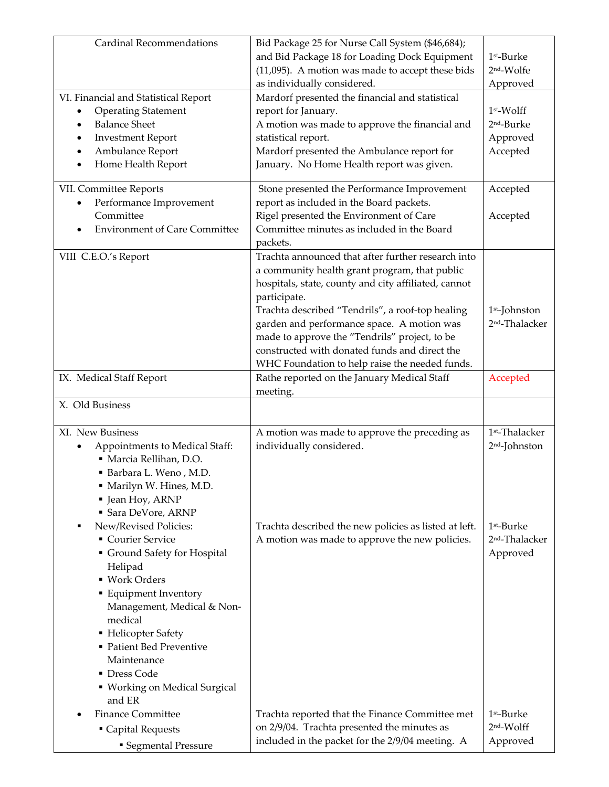| <b>Cardinal Recommendations</b>         | Bid Package 25 for Nurse Call System (\$46,684);                                                |                            |
|-----------------------------------------|-------------------------------------------------------------------------------------------------|----------------------------|
|                                         | and Bid Package 18 for Loading Dock Equipment                                                   | 1st-Burke                  |
|                                         | (11,095). A motion was made to accept these bids                                                | 2 <sup>nd</sup> -Wolfe     |
|                                         | as individually considered.                                                                     | Approved                   |
| VI. Financial and Statistical Report    | Mardorf presented the financial and statistical                                                 |                            |
| <b>Operating Statement</b>              | report for January.                                                                             | $1st$ -Wolff               |
| <b>Balance Sheet</b><br>$\bullet$       | A motion was made to approve the financial and                                                  | 2 <sup>nd</sup> -Burke     |
| <b>Investment Report</b><br>$\bullet$   | statistical report.                                                                             | Approved                   |
| Ambulance Report<br>$\bullet$           | Mardorf presented the Ambulance report for                                                      | Accepted                   |
| Home Health Report<br>$\bullet$         | January. No Home Health report was given.                                                       |                            |
| VII. Committee Reports                  | Stone presented the Performance Improvement                                                     | Accepted                   |
| Performance Improvement                 | report as included in the Board packets.                                                        |                            |
| Committee                               | Rigel presented the Environment of Care                                                         | Accepted                   |
| <b>Environment of Care Committee</b>    | Committee minutes as included in the Board                                                      |                            |
|                                         | packets.                                                                                        |                            |
| VIII C.E.O.'s Report                    | Trachta announced that after further research into                                              |                            |
|                                         | a community health grant program, that public                                                   |                            |
|                                         | hospitals, state, county and city affiliated, cannot                                            |                            |
|                                         | participate.                                                                                    |                            |
|                                         | Trachta described "Tendrils", a roof-top healing                                                | 1 <sup>st</sup> -Johnston  |
|                                         | garden and performance space. A motion was                                                      | 2 <sup>nd</sup> -Thalacker |
|                                         | made to approve the "Tendrils" project, to be                                                   |                            |
|                                         | constructed with donated funds and direct the                                                   |                            |
|                                         | WHC Foundation to help raise the needed funds.                                                  |                            |
| IX. Medical Staff Report                | Rathe reported on the January Medical Staff<br>meeting.                                         | Accepted                   |
| X. Old Business                         |                                                                                                 |                            |
|                                         |                                                                                                 |                            |
| XI. New Business                        | A motion was made to approve the preceding as                                                   | 1 <sup>st</sup> -Thalacker |
| Appointments to Medical Staff:          | individually considered.                                                                        | 2 <sup>nd</sup> -Johnston  |
| · Marcia Rellihan, D.O.                 |                                                                                                 |                            |
| Barbara L. Weno, M.D.                   |                                                                                                 |                            |
| · Marilyn W. Hines, M.D.                |                                                                                                 |                            |
| • Jean Hoy, ARNP<br>• Sara DeVore, ARNP |                                                                                                 |                            |
| New/Revised Policies:                   | Trachta described the new policies as listed at left.                                           | 1 <sup>st</sup> -Burke     |
| Courier Service                         | A motion was made to approve the new policies.                                                  | 2 <sup>nd</sup> -Thalacker |
| Ground Safety for Hospital              |                                                                                                 | Approved                   |
| Helipad                                 |                                                                                                 |                            |
| • Work Orders                           |                                                                                                 |                            |
| • Equipment Inventory                   |                                                                                                 |                            |
| Management, Medical & Non-              |                                                                                                 |                            |
| medical                                 |                                                                                                 |                            |
| • Helicopter Safety                     |                                                                                                 |                            |
| • Patient Bed Preventive                |                                                                                                 |                            |
| Maintenance                             |                                                                                                 |                            |
|                                         |                                                                                                 |                            |
| • Dress Code                            |                                                                                                 |                            |
| ■ Working on Medical Surgical           |                                                                                                 |                            |
| and ER                                  |                                                                                                 |                            |
| <b>Finance Committee</b>                | Trachta reported that the Finance Committee met                                                 | 1 <sup>st</sup> -Burke     |
| • Capital Requests                      | on 2/9/04. Trachta presented the minutes as<br>included in the packet for the 2/9/04 meeting. A | 2nd-Wolff<br>Approved      |